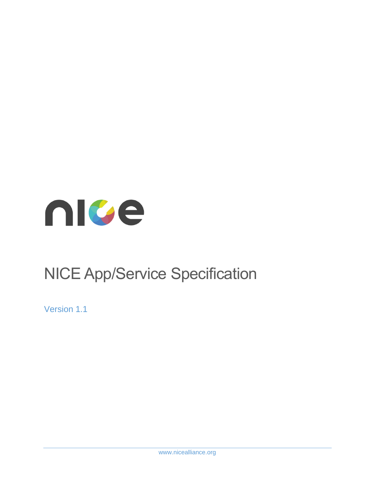

# NICE App/Service Specification

Version 1.1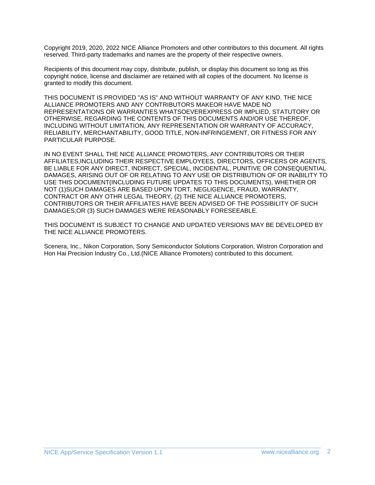Copyright 2019, 2020, 2022 NICE Alliance Promoters and other contributors to this document. All rights reserved. Third-party trademarks and names are the property of their respective owners.

Recipients of this document may copy, distribute, publish, or display this document so long as this copyright notice, license and disclaimer are retained with all copies of the document. No license is granted to modify this document.

THIS DOCUMENT IS PROVIDED "AS IS" AND WITHOUT WARRANTY OF ANY KIND. THE NICE ALLIANCE PROMOTERS AND ANY CONTRIBUTORS MAKEOR HAVE MADE NO REPRESENTATIONS OR WARRANTIES WHATSOEVEREXPRESS OR IMPLIED, STATUTORY OR OTHERWISE, REGARDING THE CONTENTS OF THIS DOCUMENTS AND/OR USE THEREOF, INCLUDING WITHOUT LIMITATION, ANY REPRESENTATION OR WARRANTY OF ACCURACY, RELIABILITY, MERCHANTABILITY, GOOD TITLE, NON-INFRINGEMENT, OR FITNESS FOR ANY PARTICULAR PURPOSE.

IN NO EVENT SHALL THE NICE ALLIANCE PROMOTERS, ANY CONTRIBUTORS OR THEIR AFFILIATES,INCLUDING THEIR RESPECTIVE EMPLOYEES, DIRECTORS, OFFICERS OR AGENTS, BE LIABLE FOR ANY DIRECT, INDIRECT, SPECIAL, INCIDENTAL, PUNITIVE OR CONSEQUENTIAL DAMAGES, ARISING OUT OF OR RELATING TO ANY USE OR DISTRIBUTION OF OR INABILITY TO USE THIS DOCUMENT(INCLUDING FUTURE UPDATES TO THIS DOCUMENTS), WHETHER OR NOT (1)SUCH DAMAGES ARE BASED UPON TORT, NEGLIGENCE, FRAUD, WARRANTY, CONTRACT OR ANY OTHR LEGAL THEORY, (2) THE NICE ALLIANCE PROMOTERS, CONTRIBUTORS OR THEIR AFFILIATES HAVE BEEN ADVISED OF THE POSSIBILITY OF SUCH DAMAGES;OR (3) SUCH DAMAGES WERE REASONABLY FORESEEABLE.

THIS DOCUMENT IS SUBJECT TO CHANGE AND UPDATED VERSIONS MAY BE DEVELOPED BY THE NICE ALLIANCE PROMOTERS.

Scenera, Inc., Nikon Corporation, Sony Semiconductor Solutions Corporation, Wistron Corporation and Hon Hai Precision Industry Co., Ltd.(NICE Alliance Promoters) contributed to this document.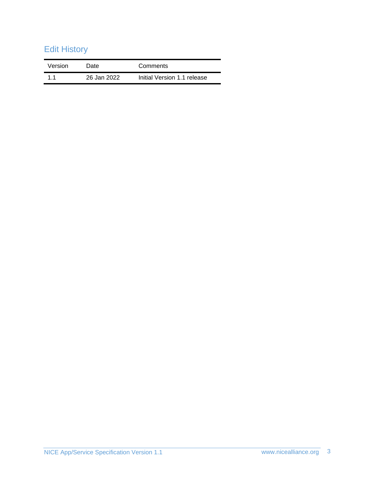# Edit History

| Version | Date        | Comments                    |
|---------|-------------|-----------------------------|
| 11      | 26 Jan 2022 | Initial Version 1.1 release |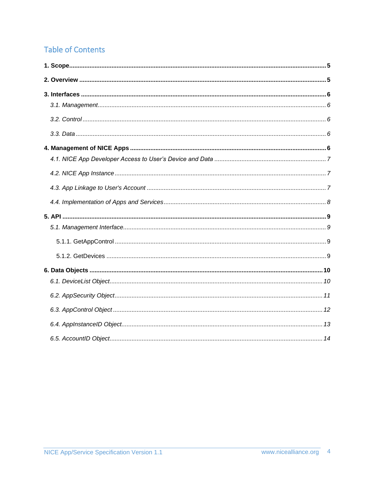# **Table of Contents**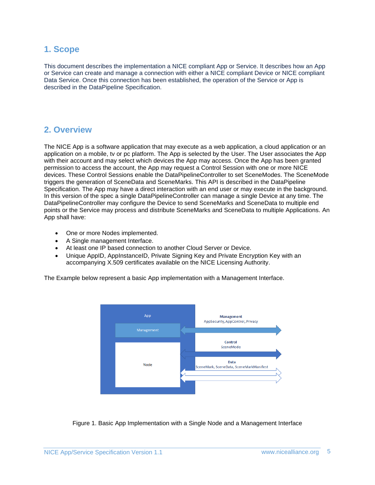### <span id="page-4-0"></span>**1. Scope**

This document describes the implementation a NICE compliant App or Service. It describes how an App or Service can create and manage a connection with either a NICE compliant Device or NICE compliant Data Service. Once this connection has been established, the operation of the Service or App is described in the DataPipeline Specification.

### <span id="page-4-1"></span>**2. Overview**

The NICE App is a software application that may execute as a web application, a cloud application or an application on a mobile, tv or pc platform. The App is selected by the User. The User associates the App with their account and may select which devices the App may access. Once the App has been granted permission to access the account, the App may request a Control Session with one or more NICE devices. These Control Sessions enable the DataPipelineController to set SceneModes. The SceneMode triggers the generation of SceneData and SceneMarks. This API is described in the DataPipeline Specification. The App may have a direct interaction with an end user or may execute in the background. In this version of the spec a single DataPipelineController can manage a single Device at any time. The DataPipelineController may configure the Device to send SceneMarks and SceneData to multiple end points or the Service may process and distribute SceneMarks and SceneData to multiple Applications. An App shall have:

- One or more Nodes implemented.
- A Single management Interface.
- At least one IP based connection to another Cloud Server or Device.
- Unique AppID, AppInstanceID, Private Signing Key and Private Encryption Key with an accompanying X.509 certificates available on the NICE Licensing Authority.

The Example below represent a basic App implementation with a Management Interface.



Figure 1. Basic App Implementation with a Single Node and a Management Interface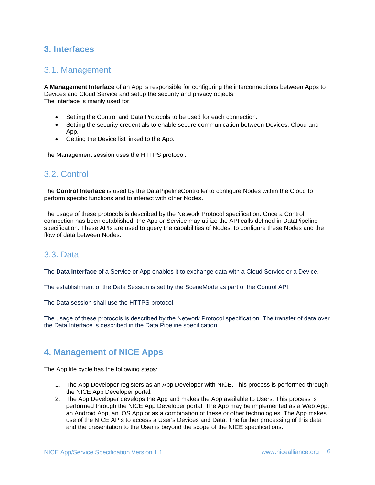# <span id="page-5-1"></span><span id="page-5-0"></span>**3. Interfaces**

### 3.1. Management

A **Management Interface** of an App is responsible for configuring the interconnections between Apps to Devices and Cloud Service and setup the security and privacy objects. The interface is mainly used for:

- Setting the Control and Data Protocols to be used for each connection.
- Setting the security credentials to enable secure communication between Devices, Cloud and App.
- Getting the Device list linked to the App.

The Management session uses the HTTPS protocol.

# <span id="page-5-2"></span>3.2. Control

The **Control Interface** is used by the DataPipelineController to configure Nodes within the Cloud to perform specific functions and to interact with other Nodes.

The usage of these protocols is described by the Network Protocol specification. Once a Control connection has been established, the App or Service may utilize the API calls defined in DataPipeline specification. These APIs are used to query the capabilities of Nodes, to configure these Nodes and the flow of data between Nodes.

### <span id="page-5-3"></span>3.3. Data

The **Data Interface** of a Service or App enables it to exchange data with a Cloud Service or a Device.

The establishment of the Data Session is set by the SceneMode as part of the Control API.

The Data session shall use the HTTPS protocol.

The usage of these protocols is described by the Network Protocol specification. The transfer of data over the Data Interface is described in the Data Pipeline specification.

# <span id="page-5-4"></span>**4. Management of NICE Apps**

The App life cycle has the following steps:

- 1. The App Developer registers as an App Developer with NICE. This process is performed through the NICE App Developer portal.
- 2. The App Developer develops the App and makes the App available to Users. This process is performed through the NICE App Developer portal. The App may be implemented as a Web App, an Android App, an iOS App or as a combination of these or other technologies. The App makes use of the NICE APIs to access a User's Devices and Data. The further processing of this data and the presentation to the User is beyond the scope of the NICE specifications.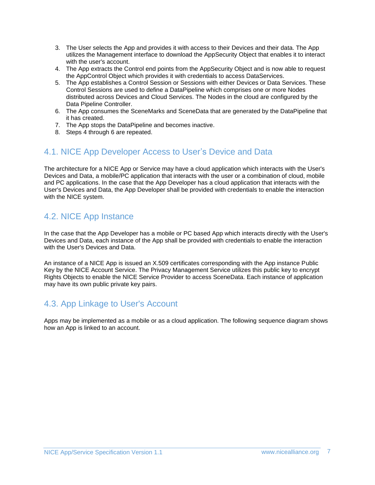- 3. The User selects the App and provides it with access to their Devices and their data. The App utilizes the Management interface to download the AppSecurity Object that enables it to interact with the user's account.
- 4. The App extracts the Control end points from the AppSecurity Object and is now able to request the AppControl Object which provides it with credentials to access DataServices.
- 5. The App establishes a Control Session or Sessions with either Devices or Data Services. These Control Sessions are used to define a DataPipeline which comprises one or more Nodes distributed across Devices and Cloud Services. The Nodes in the cloud are configured by the Data Pipeline Controller.
- 6. The App consumes the SceneMarks and SceneData that are generated by the DataPipeline that it has created.
- 7. The App stops the DataPipeline and becomes inactive.
- 8. Steps 4 through 6 are repeated.

# <span id="page-6-0"></span>4.1. NICE App Developer Access to User's Device and Data

The architecture for a NICE App or Service may have a cloud application which interacts with the User's Devices and Data, a mobile/PC application that interacts with the user or a combination of cloud, mobile and PC applications. In the case that the App Developer has a cloud application that interacts with the User's Devices and Data, the App Developer shall be provided with credentials to enable the interaction with the NICE system.

# <span id="page-6-1"></span>4.2. NICE App Instance

In the case that the App Developer has a mobile or PC based App which interacts directly with the User's Devices and Data, each instance of the App shall be provided with credentials to enable the interaction with the User's Devices and Data.

An instance of a NICE App is issued an X.509 certificates corresponding with the App instance Public Key by the NICE Account Service. The Privacy Management Service utilizes this public key to encrypt Rights Objects to enable the NICE Service Provider to access SceneData. Each instance of application may have its own public private key pairs.

# <span id="page-6-2"></span>4.3. App Linkage to User's Account

Apps may be implemented as a mobile or as a cloud application. The following sequence diagram shows how an App is linked to an account.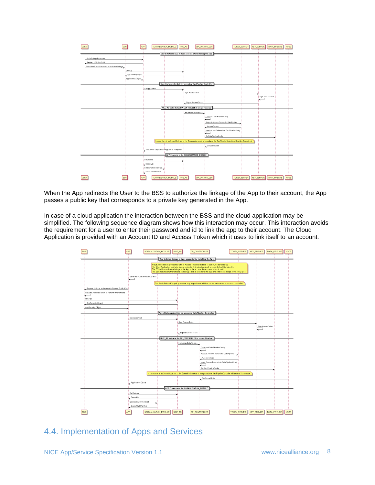

When the App redirects the User to the BSS to authorize the linkage of the App to their account, the App passes a public key that corresponds to a private key generated in the App.

In case of a cloud application the interaction between the BSS and the cloud application may be simplified. The following sequence diagram shows how this interaction may occur. This interaction avoids the requirement for a user to enter their password and id to link the app to their account. The Cloud Application is provided with an Account ID and Access Token which it uses to link itself to an account.



# <span id="page-7-0"></span>4.4. Implementation of Apps and Services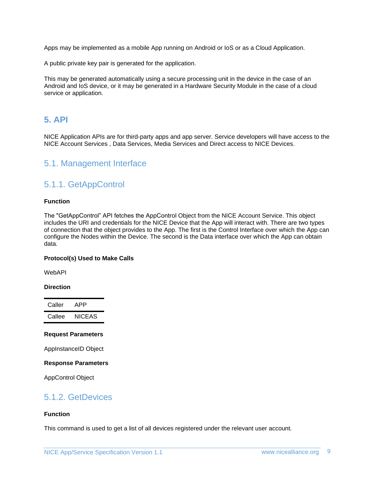Apps may be implemented as a mobile App running on Android or IoS or as a Cloud Application.

A public private key pair is generated for the application.

This may be generated automatically using a secure processing unit in the device in the case of an Android and IoS device, or it may be generated in a Hardware Security Module in the case of a cloud service or application.

### <span id="page-8-0"></span>**5. API**

NICE Application APIs are for third-party apps and app server. Service developers will have access to the NICE Account Services , Data Services, Media Services and Direct access to NICE Devices.

### <span id="page-8-2"></span><span id="page-8-1"></span>5.1. Management Interface

# 5.1.1. GetAppControl

#### **Function**

The "GetAppControl" API fetches the AppControl Object from the NICE Account Service. This object includes the URI and credentials for the NICE Device that the App will interact with. There are two types of connection that the object provides to the App. The first is the Control Interface over which the App can configure the Nodes within the Device. The second is the Data interface over which the App can obtain data.

#### **Protocol(s) Used to Make Calls**

WebAPI

#### **Direction**

| Caller | APP    |
|--------|--------|
| Callee | NICEAS |

#### **Request Parameters**

AppInstanceID Object

#### **Response Parameters**

AppControl Object

### <span id="page-8-3"></span>5.1.2. GetDevices

#### **Function**

This command is used to get a list of all devices registered under the relevant user account.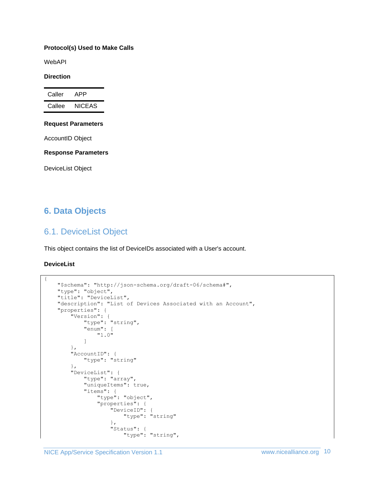#### **Protocol(s) Used to Make Calls**

WebAPI

#### **Direction**

| Caller | APP           |
|--------|---------------|
| Callee | <b>NICEAS</b> |

#### **Request Parameters**

AccountID Object

**Response Parameters**

DeviceList Object

# <span id="page-9-1"></span><span id="page-9-0"></span>**6. Data Objects**

# 6.1. DeviceList Object

This object contains the list of DeviceIDs associated with a User's account.

#### **DeviceList**

{

```
 "$schema": "http://json-schema.org/draft-06/schema#",
 "type": "object",
 "title": "DeviceList",
     "description": "List of Devices Associated with an Account",
     "properties": {
         "Version": {
            "type": "string",
             "enum": [
                 "1.0"
             ]
         },
         "AccountID": {
             "type": "string"
         },
         "DeviceList": {
             "type": "array",
             "uniqueItems": true,
             "items": {
                 "type": "object",
                 "properties": {
                      "DeviceID": {
                          "type": "string"
                      },
                     "Status": {
                          "type": "string",
```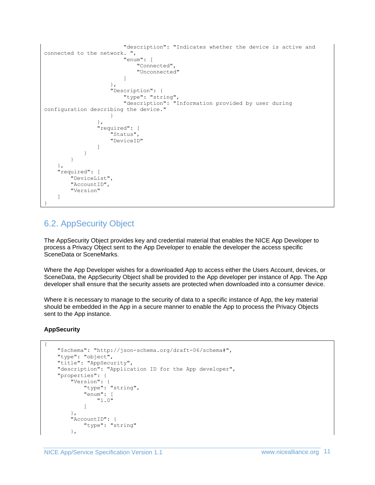```
 "description": "Indicates whether the device is active and 
connected to the network. ",
                                   "enum": [
                                        "Connected",
                                       "Unconnected"
\sim 100 \sim 100 \sim 100 \sim 100 \sim 100 \sim 100 \sim 100 \sim 100 \sim 100 \sim 100 \sim 100 \sim 100 \sim 100 \sim 100 \sim 100 \sim 100 \sim 100 \sim 100 \sim 100 \sim 100 \sim 100 \sim 100 \sim 100 \sim 100 \sim 
 },
                             "Description": {
                                  "type": "string",
                                 "description": "Information provided by user during 
configuration describing the device."
 }
                       },
                       "required": [
                             "Status",
                            "DeviceID"
 ]
 }
            }
      },
      "required": [
            "DeviceList",
            "AccountID",
            "Version"
      ]
}
```
# <span id="page-10-0"></span>6.2. AppSecurity Object

The AppSecurity Object provides key and credential material that enables the NICE App Developer to process a Privacy Object sent to the App Developer to enable the developer the access specific SceneData or SceneMarks.

Where the App Developer wishes for a downloaded App to access either the Users Account, devices, or SceneData, the AppSecurity Object shall be provided to the App developer per instance of App. The App developer shall ensure that the security assets are protected when downloaded into a consumer device.

Where it is necessary to manage to the security of data to a specific instance of App, the key material should be embedded in the App in a secure manner to enable the App to process the Privacy Objects sent to the App instance.

#### **AppSecurity**

```
{
     "$schema": "http://json-schema.org/draft-06/schema#",
     "type": "object",
     "title": "AppSecurity",
     "description": "Application ID for the App developer",
     "properties": {
         "Version": {
             "type": "string",
             "enum": [
                 "1.0"
 ]
         },
         "AccountID": {
             "type": "string"
         },
```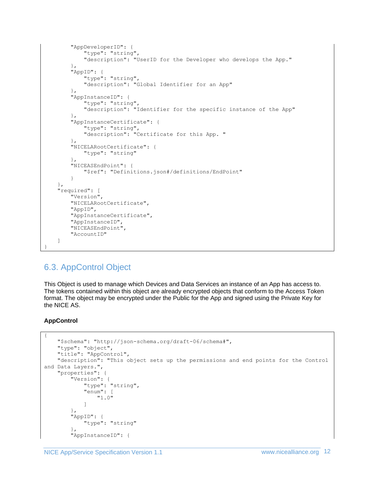```
 "AppDeveloperID": {
             "type": "string",
             "description": "UserID for the Developer who develops the App."
         },
         "AppID": {
             "type": "string",
             "description": "Global Identifier for an App"
         },
         "AppInstanceID": {
              "type": "string",
             "description": "Identifier for the specific instance of the App"
         },
         "AppInstanceCertificate": {
             "type": "string",
             "description": "Certificate for this App. "
         },
         "NICELARootCertificate": {
             "type": "string"
         },
         "NICEASEndPoint": {
             "$ref": "Definitions.json#/definitions/EndPoint"
         }
     },
     "required": [
         "Version",
         "NICELARootCertificate",
         "AppID",
         "AppInstanceCertificate",
         "AppInstanceID",
         "NICEASEndPoint",
         "AccountID"
     ]
}
```
# <span id="page-11-0"></span>6.3. AppControl Object

This Object is used to manage which Devices and Data Services an instance of an App has access to. The tokens contained within this object are already encrypted objects that conform to the Access Token format. The object may be encrypted under the Public for the App and signed using the Private Key for the NICE AS.

### **AppControl**

```
{
     "$schema": "http://json-schema.org/draft-06/schema#",
     "type": "object",
     "title": "AppControl",
     "description": "This object sets up the permissions and end points for the Control 
and Data Layers.",
     "properties": {
         "Version": {
              "type": "string",
              "enum": [
                  "1.0"
              ]
         },
         "AppID": {
              "type": "string"
         },
         "AppInstanceID": {
```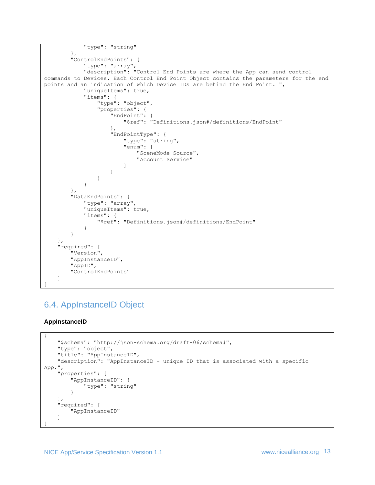```
 "type": "string"
 },
 "ControlEndPoints": {
 "type": "array",
               "description": "Control End Points are where the App can send control 
commands to Devices. Each Control End Point Object contains the parameters for the end 
points and an indication of which Device IDs are behind the End Point. ",
               "uniqueItems": true,
               "items": {
                    "type": "object",
                    "properties": {
                        "EndPoint": {
                             "$ref": "Definitions.json#/definitions/EndPoint"
 },
                       "EndPointType": {
                            "type": "string",
                             "enum": [
                                  "SceneMode Source",
                                 "Account Service"
\sim 100 \sim 100 \sim 100 \sim 100 \sim 100 \sim 100 \sim 100 \sim 100 \sim 100 \sim 100 \sim 100 \sim 100 \sim 100 \sim 100 \sim 100 \sim 100 \sim 100 \sim 100 \sim 100 \sim 100 \sim 100 \sim 100 \sim 100 \sim 100 \sim 
 }
 }
 }
          },
          "DataEndPoints": {
               "type": "array",
               "uniqueItems": true,
               "items": {
                    "$ref": "Definitions.json#/definitions/EndPoint"
 }
          }
     },
     "required": [
          "Version",
          "AppInstanceID",
          "AppID",
          "ControlEndPoints"
     ]
}
```
# <span id="page-12-0"></span>6.4. AppInstanceID Object

### **AppInstanceID**

```
{
     "$schema": "http://json-schema.org/draft-06/schema#",
     "type": "object",
     "title": "AppInstanceID",
     "description": "AppInstanceID - unique ID that is associated with a specific 
App.",
     "properties": {
         "AppInstanceID": {
              "type": "string"
         }
     },
     "required": [
         "AppInstanceID"
     ]
}
```